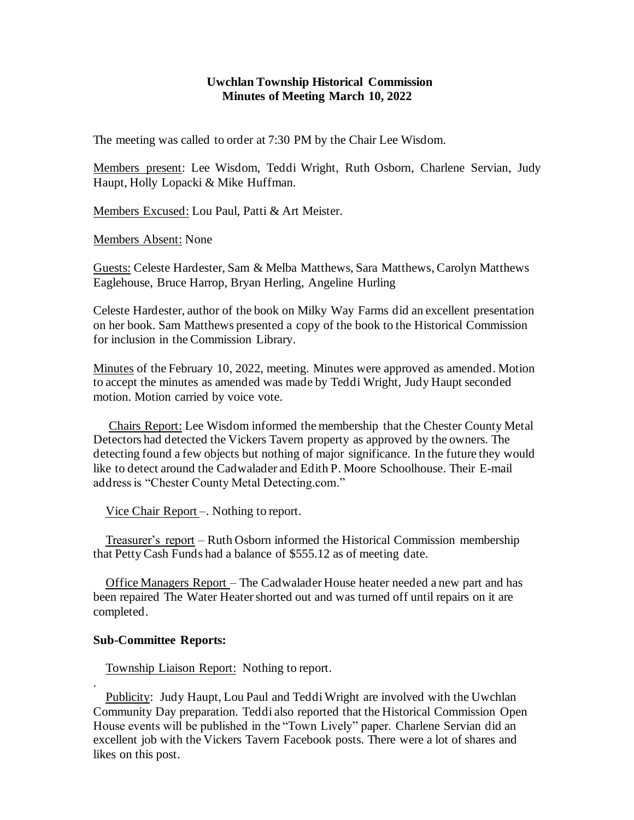## **Uwchlan Township Historical Commission Minutes of Meeting March 10, 2022**

The meeting was called to order at 7:30 PM by the Chair Lee Wisdom.

Members present: Lee Wisdom, Teddi Wright, Ruth Osborn, Charlene Servian, Judy Haupt, Holly Lopacki & Mike Huffman.

Members Excused: Lou Paul, Patti & Art Meister.

Members Absent: None

Guests: Celeste Hardester, Sam & Melba Matthews, Sara Matthews, Carolyn Matthews Eaglehouse, Bruce Harrop, Bryan Herling, Angeline Hurling

Celeste Hardester, author of the book on Milky Way Farms did an excellent presentation on her book. Sam Matthews presented a copy of the book to the Historical Commission for inclusion in the Commission Library.

Minutes of the February 10, 2022, meeting. Minutes were approved as amended. Motion to accept the minutes as amended was made by Teddi Wright, Judy Haupt seconded motion. Motion carried by voice vote.

 Chairs Report: Lee Wisdom informed the membership that the Chester County Metal Detectors had detected the Vickers Tavern property as approved by the owners. The detecting found a few objects but nothing of major significance. In the future they would like to detect around the Cadwalader and Edith P. Moore Schoolhouse. Their E-mail address is "Chester County Metal Detecting.com."

Vice Chair Report –. Nothing to report.

 Treasurer's report – Ruth Osborn informed the Historical Commission membership that Petty Cash Funds had a balance of \$555.12 as of meeting date.

 Office Managers Report – The Cadwalader House heater needed a new part and has been repaired The Water Heater shorted out and was turned off until repairs on it are completed.

## **Sub-Committee Reports:**

.

Township Liaison Report: Nothing to report.

Publicity: Judy Haupt, Lou Paul and Teddi Wright are involved with the Uwchlan Community Day preparation. Teddi also reported that the Historical Commission Open House events will be published in the "Town Lively" paper. Charlene Servian did an excellent job with the Vickers Tavern Facebook posts. There were a lot of shares and likes on this post.